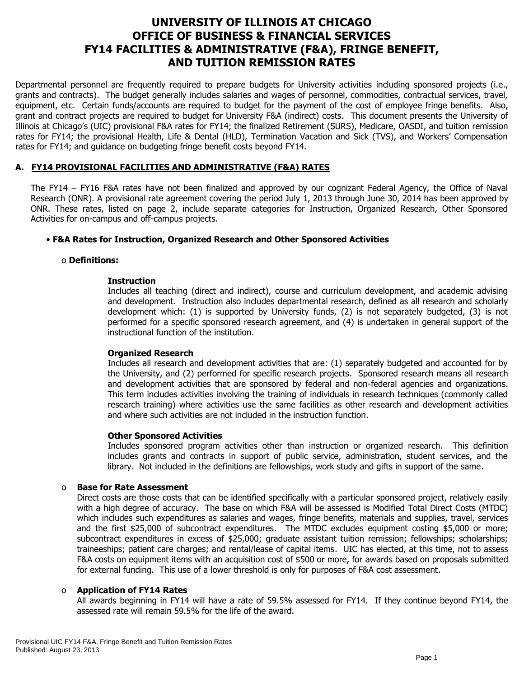# **UNIVERSITY OF ILLINOIS AT CHICAGO OFFICE OF BUSINESS & FINANCIAL SERVICES FY14 FACILITIES & ADMINISTRATIVE (F&A), FRINGE BENEFIT, AND TUITION REMISSION RATES**

Departmental personnel are frequently required to prepare budgets for University activities including sponsored projects (i.e., grants and contracts). The budget generally includes salaries and wages of personnel, commodities, contractual services, travel, equipment, etc. Certain funds/accounts are required to budget for the payment of the cost of employee fringe benefits. Also, grant and contract projects are required to budget for University F&A (indirect) costs. This document presents the University of Illinois at Chicago's (UIC) provisional F&A rates for FY14; the finalized Retirement (SURS), Medicare, OASDI, and tuition remission rates for FY14; the provisional Health, Life & Dental (HLD), Termination Vacation and Sick (TVS), and Workers' Compensation rates for FY14; and guidance on budgeting fringe benefit costs beyond FY14.

# **A. FY14 PROVISIONAL FACILITIES AND ADMINISTRATIVE (F&A) RATES**

The FY14 – FY16 F&A rates have not been finalized and approved by our cognizant Federal Agency, the Office of Naval Research (ONR). A provisional rate agreement covering the period July 1, 2013 through June 30, 2014 has been approved by ONR. These rates, listed on page 2, include separate categories for Instruction, Organized Research, Other Sponsored Activities for on-campus and off-campus projects.

### • **F&A Rates for Instruction, Organized Research and Other Sponsored Activities**

### o **Definitions:**

### **Instruction**

Includes all teaching (direct and indirect), course and curriculum development, and academic advising and development. Instruction also includes departmental research, defined as all research and scholarly development which: (1) is supported by University funds, (2) is not separately budgeted, (3) is not performed for a specific sponsored research agreement, and (4) is undertaken in general support of the instructional function of the institution.

### **Organized Research**

Includes all research and development activities that are: (1) separately budgeted and accounted for by the University, and (2) performed for specific research projects. Sponsored research means all research and development activities that are sponsored by federal and non-federal agencies and organizations. This term includes activities involving the training of individuals in research techniques (commonly called research training) where activities use the same facilities as other research and development activities and where such activities are not included in the instruction function.

### **Other Sponsored Activities**

Includes sponsored program activities other than instruction or organized research. This definition includes grants and contracts in support of public service, administration, student services, and the library. Not included in the definitions are fellowships, work study and gifts in support of the same.

### o **Base for Rate Assessment**

Direct costs are those costs that can be identified specifically with a particular sponsored project, relatively easily with a high degree of accuracy. The base on which F&A will be assessed is Modified Total Direct Costs (MTDC) which includes such expenditures as salaries and wages, fringe benefits, materials and supplies, travel, services and the first \$25,000 of subcontract expenditures. The MTDC excludes equipment costing \$5,000 or more; subcontract expenditures in excess of \$25,000; graduate assistant tuition remission; fellowships; scholarships; traineeships; patient care charges; and rental/lease of capital items. UIC has elected, at this time, not to assess F&A costs on equipment items with an acquisition cost of \$500 or more, for awards based on proposals submitted for external funding. This use of a lower threshold is only for purposes of F&A cost assessment.

### o **Application of FY14 Rates**

All awards beginning in FY14 will have a rate of 59.5% assessed for FY14. If they continue beyond FY14, the assessed rate will remain 59.5% for the life of the award.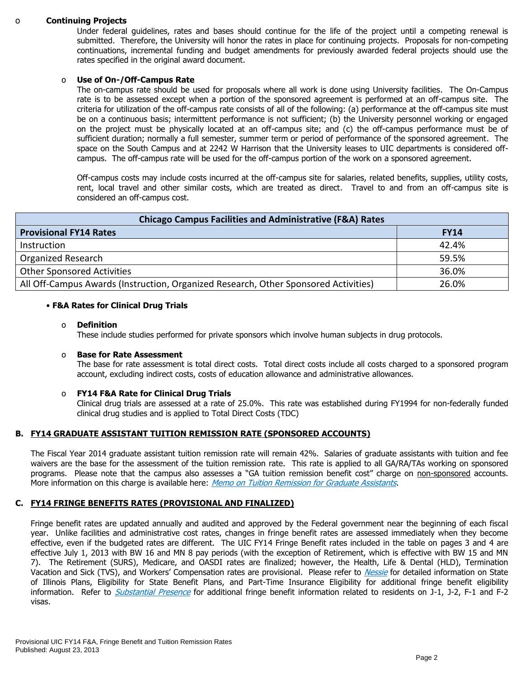#### o **Continuing Projects**

Under federal guidelines, rates and bases should continue for the life of the project until a competing renewal is submitted. Therefore, the University will honor the rates in place for continuing projects. Proposals for non-competing continuations, incremental funding and budget amendments for previously awarded federal projects should use the rates specified in the original award document.

#### o **Use of On-/Off-Campus Rate**

The on-campus rate should be used for proposals where all work is done using University facilities. The On-Campus rate is to be assessed except when a portion of the sponsored agreement is performed at an off-campus site. The criteria for utilization of the off-campus rate consists of all of the following: (a) performance at the off-campus site must be on a continuous basis; intermittent performance is not sufficient; (b) the University personnel working or engaged on the project must be physically located at an off-campus site; and (c) the off-campus performance must be of sufficient duration; normally a full semester, summer term or period of performance of the sponsored agreement. The space on the South Campus and at 2242 W Harrison that the University leases to UIC departments is considered offcampus. The off-campus rate will be used for the off-campus portion of the work on a sponsored agreement.

Off-campus costs may include costs incurred at the off-campus site for salaries, related benefits, supplies, utility costs, rent, local travel and other similar costs, which are treated as direct. Travel to and from an off-campus site is considered an off-campus cost.

| <b>Chicago Campus Facilities and Administrative (F&amp;A) Rates</b>                 |             |  |  |  |  |
|-------------------------------------------------------------------------------------|-------------|--|--|--|--|
| <b>Provisional FY14 Rates</b>                                                       | <b>FY14</b> |  |  |  |  |
| Instruction                                                                         | 42.4%       |  |  |  |  |
| <b>Organized Research</b>                                                           | 59.5%       |  |  |  |  |
| <b>Other Sponsored Activities</b>                                                   | 36.0%       |  |  |  |  |
| All Off-Campus Awards (Instruction, Organized Research, Other Sponsored Activities) | 26.0%       |  |  |  |  |

#### • **F&A Rates for Clinical Drug Trials**

#### o **Definition**

These include studies performed for private sponsors which involve human subjects in drug protocols.

#### o **Base for Rate Assessment**

The base for rate assessment is total direct costs. Total direct costs include all costs charged to a sponsored program account, excluding indirect costs, costs of education allowance and administrative allowances.

#### o **FY14 F&A Rate for Clinical Drug Trials**

Clinical drug trials are assessed at a rate of 25.0%. This rate was established during FY1994 for non-federally funded clinical drug studies and is applied to Total Direct Costs (TDC)

#### **B. FY14 GRADUATE ASSISTANT TUITION REMISSION RATE (SPONSORED ACCOUNTS)**

The Fiscal Year 2014 graduate assistant tuition remission rate will remain 42%.Salaries of graduate assistants with tuition and fee waivers are the base for the assessment of the tuition remission rate. This rate is applied to all GA/RA/TAs working on sponsored programs. Please note that the campus also assesses a "GA tuition remission benefit cost" charge on non-sponsored accounts. More information on this charge is available here: [Memo on Tuition Remission for Graduate Assistants](https://www.obfs.uillinois.edu/common/pages/DisplayFile.aspx?itemId=436386).

#### **C. FY14 FRINGE BENEFITS RATES (PROVISIONAL AND FINALIZED)**

Fringe benefit rates are updated annually and audited and approved by the Federal government near the beginning of each fiscal year. Unlike facilities and administrative cost rates, changes in fringe benefit rates are assessed immediately when they become effective, even if the budgeted rates are different. The UIC FY14 Fringe Benefit rates included in the table on pages 3 and 4 are effective July 1, 2013 with BW 16 and MN 8 pay periods (with the exception of Retirement, which is effective with BW 15 and MN 7). The Retirement (SURS), Medicare, and OASDI rates are finalized; however, the Health, Life & Dental (HLD), Termination Vacation and Sick (TVS), and Workers' Compensation rates are provisional. Please refer to [Nessie](http://nessie.uihr.uillinois.edu/cf/benefits/) for detailed information on State of Illinois Plans, Eligibility for State Benefit Plans, and Part-Time Insurance Eligibility for additional fringe benefit eligibility information. Refer to *[Substantial Presence](http://www.uic.edu/com/gme/rpm_comp___benefits.htm#real_substantial_pres)* for additional fringe benefit information related to residents on J-1, J-2, F-1 and F-2 visas.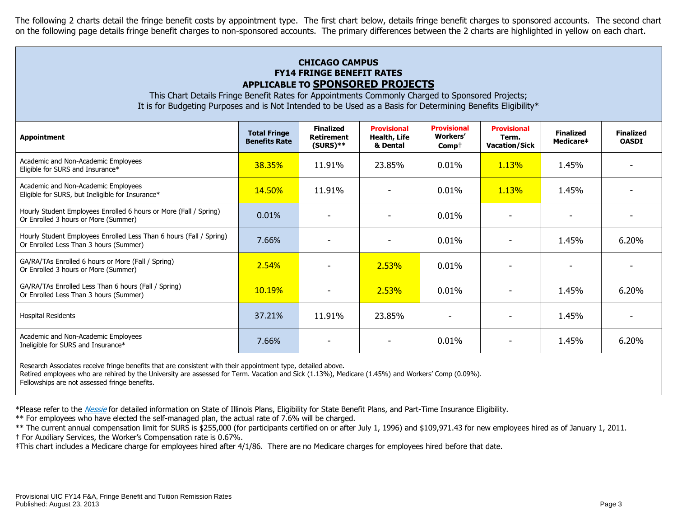The following 2 charts detail the fringe benefit costs by appointment type. The first chart below, details fringe benefit charges to sponsored accounts. The second chart on the following page details fringe benefit charges to non-sponsored accounts. The primary differences between the 2 charts are highlighted in yellow on each chart.

# **CHICAGO CAMPUS FY14 FRINGE BENEFIT RATES APPLICABLE TO SPONSORED PROJECTS**

This Chart Details Fringe Benefit Rates for Appointments Commonly Charged to Sponsored Projects; It is for Budgeting Purposes and is Not Intended to be Used as a Basis for Determining Benefits Eligibility\*

| <b>Appointment</b>                                                                                                 | <b>Total Fringe</b><br><b>Benefits Rate</b> | <b>Finalized</b><br><b>Retirement</b><br>$(SURS)**$ | <b>Provisional</b><br>Health, Life<br>& Dental | <b>Provisional</b><br><b>Workers'</b><br>$Comp+$ | <b>Provisional</b><br>Term.<br><b>Vacation/Sick</b> | <b>Finalized</b><br>Medicare# | <b>Finalized</b><br><b>OASDI</b> |
|--------------------------------------------------------------------------------------------------------------------|---------------------------------------------|-----------------------------------------------------|------------------------------------------------|--------------------------------------------------|-----------------------------------------------------|-------------------------------|----------------------------------|
| Academic and Non-Academic Employees<br>Eligible for SURS and Insurance*                                            | 38.35%                                      | 11.91%                                              | 23.85%                                         | 0.01%                                            | 1.13%                                               | 1.45%                         |                                  |
| Academic and Non-Academic Employees<br>Eligible for SURS, but Ineligible for Insurance*                            | <b>14.50%</b>                               | 11.91%                                              |                                                | 0.01%                                            | <b>1.13%</b>                                        | 1.45%                         |                                  |
| Hourly Student Employees Enrolled 6 hours or More (Fall / Spring)<br>Or Enrolled 3 hours or More (Summer)          | 0.01%                                       |                                                     |                                                | 0.01%                                            |                                                     |                               |                                  |
| Hourly Student Employees Enrolled Less Than 6 hours (Fall / Spring)<br>Or Enrolled Less Than 3 hours (Summer)      | 7.66%                                       |                                                     |                                                | 0.01%                                            |                                                     | 1.45%                         | 6.20%                            |
| GA/RA/TAs Enrolled 6 hours or More (Fall / Spring)<br>Or Enrolled 3 hours or More (Summer)                         | 2.54%                                       |                                                     | 2.53%                                          | 0.01%                                            |                                                     |                               |                                  |
| GA/RA/TAs Enrolled Less Than 6 hours (Fall / Spring)<br>Or Enrolled Less Than 3 hours (Summer)                     | <b>10.19%</b>                               |                                                     | 2.53%                                          | $0.01\%$                                         |                                                     | 1.45%                         | 6.20%                            |
| <b>Hospital Residents</b>                                                                                          | 37.21%                                      | 11.91%                                              | 23.85%                                         |                                                  |                                                     | 1.45%                         |                                  |
| Academic and Non-Academic Employees<br>Ineligible for SURS and Insurance*                                          | 7.66%                                       | ٠                                                   | $\overline{\phantom{a}}$                       | 0.01%                                            |                                                     | 1.45%                         | 6.20%                            |
| December Accordates provides Citates benefits that are consistent initially the consistence to be a shateled above |                                             |                                                     |                                                |                                                  |                                                     |                               |                                  |

Research Associates receive fringe benefits that are consistent with their appointment type, detailed above.

Retired employees who are rehired by the University are assessed for Term. Vacation and Sick (1.13%), Medicare (1.45%) and Workers' Comp (0.09%).

Fellowships are not assessed fringe benefits.

\*Please refer to the [Nessie](http://nessie.uihr.uillinois.edu/cf/benefits/) for detailed information on State of Illinois Plans, Eligibility for State Benefit Plans, and Part-Time Insurance Eligibility.

\*\* For employees who have elected the self-managed plan, the actual rate of 7.6% will be charged.

\*\* The current annual compensation limit for SURS is \$255,000 (for participants certified on or after July 1, 1996) and \$109,971.43 for new employees hired as of January 1, 2011. † For Auxiliary Services, the Worker's Compensation rate is 0.67%.

‡This chart includes a Medicare charge for employees hired after 4/1/86. There are no Medicare charges for employees hired before that date.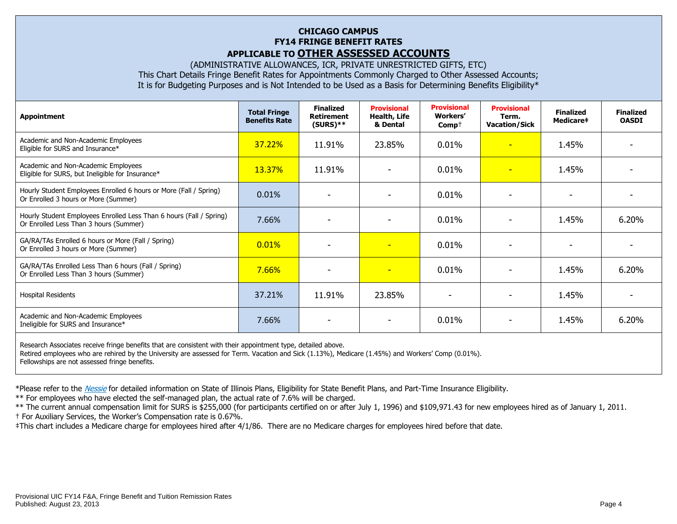### **CHICAGO CAMPUS FY14 FRINGE BENEFIT RATES APPLICABLE TO OTHER ASSESSED ACCOUNTS**

(ADMINISTRATIVE ALLOWANCES, ICR, PRIVATE UNRESTRICTED GIFTS, ETC) This Chart Details Fringe Benefit Rates for Appointments Commonly Charged to Other Assessed Accounts; It is for Budgeting Purposes and is Not Intended to be Used as a Basis for Determining Benefits Eligibility\*

| <b>Appointment</b>                                                                                            | <b>Total Fringe</b><br><b>Benefits Rate</b> | <b>Finalized</b><br><b>Retirement</b><br>$(SURS)**$ | <b>Provisional</b><br>Health, Life<br>& Dental | <b>Provisional</b><br>Workers'<br>$Comp+$ | <b>Provisional</b><br>Term.<br><b>Vacation/Sick</b> | <b>Finalized</b><br>Medicare‡ | <b>Finalized</b><br><b>OASDI</b> |
|---------------------------------------------------------------------------------------------------------------|---------------------------------------------|-----------------------------------------------------|------------------------------------------------|-------------------------------------------|-----------------------------------------------------|-------------------------------|----------------------------------|
| Academic and Non-Academic Employees<br>Eligible for SURS and Insurance*                                       | 37.22%                                      | 11.91%                                              | 23.85%                                         | 0.01%                                     | $\overline{\phantom{a}}$                            | 1.45%                         |                                  |
| Academic and Non-Academic Employees<br>Eligible for SURS, but Ineligible for Insurance*                       | 13.37%                                      | 11.91%                                              |                                                | 0.01%                                     | н                                                   | 1.45%                         |                                  |
| Hourly Student Employees Enrolled 6 hours or More (Fall / Spring)<br>Or Enrolled 3 hours or More (Summer)     | 0.01%                                       |                                                     |                                                | 0.01%                                     |                                                     |                               |                                  |
| Hourly Student Employees Enrolled Less Than 6 hours (Fall / Spring)<br>Or Enrolled Less Than 3 hours (Summer) | 7.66%                                       |                                                     |                                                | 0.01%                                     |                                                     | 1.45%                         | 6.20%                            |
| GA/RA/TAs Enrolled 6 hours or More (Fall / Spring)<br>Or Enrolled 3 hours or More (Summer)                    | 0.01%                                       |                                                     | $\overline{\phantom{0}}$                       | 0.01%                                     |                                                     |                               |                                  |
| GA/RA/TAs Enrolled Less Than 6 hours (Fall / Spring)<br>Or Enrolled Less Than 3 hours (Summer)                | 7.66%                                       | $\overline{\phantom{a}}$                            | $\overline{\phantom{0}}$                       | 0.01%                                     |                                                     | 1.45%                         | 6.20%                            |
| <b>Hospital Residents</b>                                                                                     | 37.21%                                      | 11.91%                                              | 23.85%                                         | $\overline{\phantom{0}}$                  |                                                     | 1.45%                         |                                  |
| Academic and Non-Academic Employees<br>Ineligible for SURS and Insurance*                                     | 7.66%                                       |                                                     |                                                | 0.01%                                     |                                                     | 1.45%                         | 6.20%                            |
| Research Associates receive fringe benefits that are consistent with their appointment type, detailed above.  |                                             |                                                     |                                                |                                           |                                                     |                               |                                  |

Retired employees who are rehired by the University are assessed for Term. Vacation and Sick (1.13%), Medicare (1.45%) and Workers' Comp (0.01%). Fellowships are not assessed fringe benefits.

\*Please refer to the [Nessie](http://nessie.uihr.uillinois.edu/cf/benefits/) for detailed information on State of Illinois Plans, Eligibility for State Benefit Plans, and Part-Time Insurance Eligibility.

\*\* For employees who have elected the self-managed plan, the actual rate of 7.6% will be charged.

\*\* The current annual compensation limit for SURS is \$255,000 (for participants certified on or after July 1, 1996) and \$109,971.43 for new employees hired as of January 1, 2011.

† For Auxiliary Services, the Worker's Compensation rate is 0.67%.

‡This chart includes a Medicare charge for employees hired after 4/1/86. There are no Medicare charges for employees hired before that date.